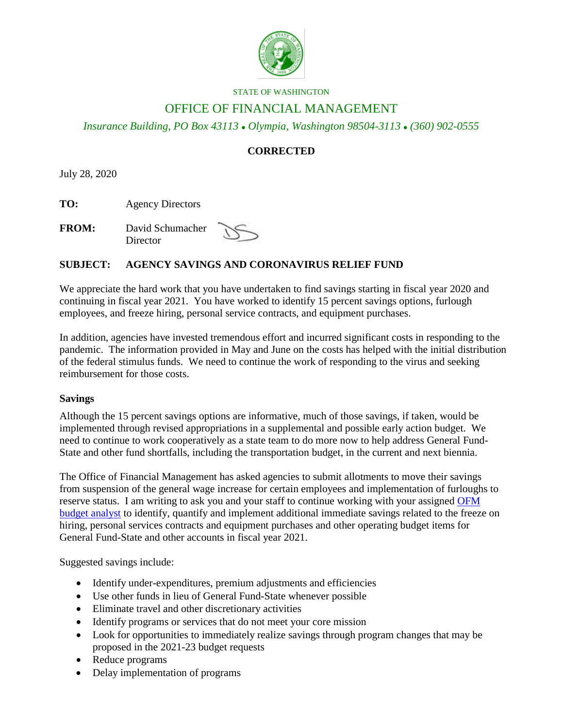

#### STATE OF WASHINGTON

## OFFICE OF FINANCIAL MANAGEMENT

*Insurance Building, PO Box 43113 Olympia, Washington 98504-3113 (360) 902-0555*

# **CORRECTED**

July 28, 2020

**TO:** Agency Directors

| <b>FROM:</b> | David Schumacher |  |
|--------------|------------------|--|
|              | Director         |  |

## **SUBJECT: AGENCY SAVINGS AND CORONAVIRUS RELIEF FUND**

We appreciate the hard work that you have undertaken to find savings starting in fiscal year 2020 and continuing in fiscal year 2021. You have worked to identify 15 percent savings options, furlough employees, and freeze hiring, personal service contracts, and equipment purchases.

In addition, agencies have invested tremendous effort and incurred significant costs in responding to the pandemic. The information provided in May and June on the costs has helped with the initial distribution of the federal stimulus funds. We need to continue the work of responding to the virus and seeking reimbursement for those costs.

#### **Savings**

Although the 15 percent savings options are informative, much of those savings, if taken, would be implemented through revised appropriations in a supplemental and possible early action budget. We need to continue to work cooperatively as a state team to do more now to help address General Fund-State and other fund shortfalls, including the transportation budget, in the current and next biennia.

The Office of Financial Management has asked agencies to submit allotments to move their savings from suspension of the general wage increase for certain employees and implementation of furloughs to reserve status. I am writing to ask you and your staff to continue working with your assigned [OFM](https://ofm.wa.gov/budget/budget-staff-agency-assignments)  [budget analyst](https://ofm.wa.gov/budget/budget-staff-agency-assignments) to identify, quantify and implement additional immediate savings related to the freeze on hiring, personal services contracts and equipment purchases and other operating budget items for General Fund-State and other accounts in fiscal year 2021.

Suggested savings include:

- Identify under-expenditures, premium adjustments and efficiencies
- Use other funds in lieu of General Fund-State whenever possible
- Eliminate travel and other discretionary activities
- Identify programs or services that do not meet your core mission
- Look for opportunities to immediately realize savings through program changes that may be proposed in the 2021-23 budget requests
- Reduce programs
- Delay implementation of programs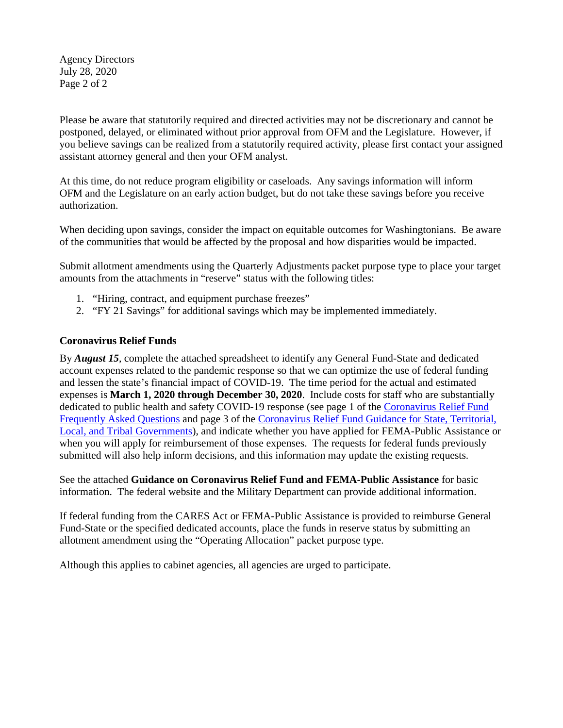Agency Directors July 28, 2020 Page 2 of 2

Please be aware that statutorily required and directed activities may not be discretionary and cannot be postponed, delayed, or eliminated without prior approval from OFM and the Legislature. However, if you believe savings can be realized from a statutorily required activity, please first contact your assigned assistant attorney general and then your OFM analyst.

At this time, do not reduce program eligibility or caseloads. Any savings information will inform OFM and the Legislature on an early action budget, but do not take these savings before you receive authorization.

When deciding upon savings, consider the impact on equitable outcomes for Washingtonians. Be aware of the communities that would be affected by the proposal and how disparities would be impacted.

Submit allotment amendments using the Quarterly Adjustments packet purpose type to place your target amounts from the attachments in "reserve" status with the following titles:

- 1. "Hiring, contract, and equipment purchase freezes"
- 2. "FY 21 Savings" for additional savings which may be implemented immediately.

### **Coronavirus Relief Funds**

By *August 15*, complete the attached spreadsheet to identify any General Fund-State and dedicated account expenses related to the pandemic response so that we can optimize the use of federal funding and lessen the state's financial impact of COVID-19. The time period for the actual and estimated expenses is **March 1, 2020 through December 30, 2020**. Include costs for staff who are substantially dedicated to public health and safety COVID-19 response (see page 1 of the [Coronavirus Relief Fund](https://home.treasury.gov/system/files/136/Coronavirus-Relief-Fund-Frequently-Asked-Questions.pdf)  [Frequently Asked Questions](https://home.treasury.gov/system/files/136/Coronavirus-Relief-Fund-Frequently-Asked-Questions.pdf) and page 3 of the [Coronavirus Relief Fund Guidance for State, Territorial,](https://home.treasury.gov/system/files/136/Coronavirus-Relief-Fund-Guidance-for-State-Territorial-Local-and-Tribal-Governments.pdf)  [Local, and Tribal Governments\)](https://home.treasury.gov/system/files/136/Coronavirus-Relief-Fund-Guidance-for-State-Territorial-Local-and-Tribal-Governments.pdf), and indicate whether you have applied for FEMA-Public Assistance or when you will apply for reimbursement of those expenses. The requests for federal funds previously submitted will also help inform decisions, and this information may update the existing requests.

See the attached **Guidance on Coronavirus Relief Fund and FEMA-Public Assistance** for basic information. The federal website and the Military Department can provide additional information.

If federal funding from the CARES Act or FEMA-Public Assistance is provided to reimburse General Fund-State or the specified dedicated accounts, place the funds in reserve status by submitting an allotment amendment using the "Operating Allocation" packet purpose type.

Although this applies to cabinet agencies, all agencies are urged to participate.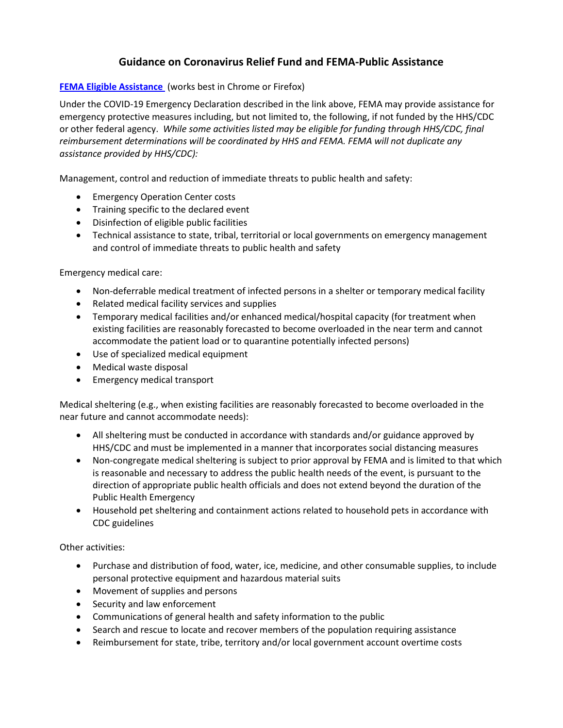# **Guidance on Coronavirus Relief Fund and FEMA-Public Assistance**

## **[FEMA Eligible Assistance](https://www.fema.gov/media-library/assets/documents/187108)** (works best in Chrome or Firefox)

Under the COVID-19 Emergency Declaration described in the link above, FEMA may provide assistance for emergency protective measures including, but not limited to, the following, if not funded by the HHS/CDC or other federal agency. *While some activities listed may be eligible for funding through HHS/CDC, final reimbursement determinations will be coordinated by HHS and FEMA. FEMA will not duplicate any assistance provided by HHS/CDC):*

Management, control and reduction of immediate threats to public health and safety:

- Emergency Operation Center costs
- Training specific to the declared event
- Disinfection of eligible public facilities
- Technical assistance to state, tribal, territorial or local governments on emergency management and control of immediate threats to public health and safety

Emergency medical care:

- Non-deferrable medical treatment of infected persons in a shelter or temporary medical facility
- Related medical facility services and supplies
- Temporary medical facilities and/or enhanced medical/hospital capacity (for treatment when existing facilities are reasonably forecasted to become overloaded in the near term and cannot accommodate the patient load or to quarantine potentially infected persons)
- Use of specialized medical equipment
- Medical waste disposal
- Emergency medical transport

Medical sheltering (e.g., when existing facilities are reasonably forecasted to become overloaded in the near future and cannot accommodate needs):

- All sheltering must be conducted in accordance with standards and/or guidance approved by HHS/CDC and must be implemented in a manner that incorporates social distancing measures
- Non-congregate medical sheltering is subject to prior approval by FEMA and is limited to that which is reasonable and necessary to address the public health needs of the event, is pursuant to the direction of appropriate public health officials and does not extend beyond the duration of the Public Health Emergency
- Household pet sheltering and containment actions related to household pets in accordance with CDC guidelines

Other activities:

- Purchase and distribution of food, water, ice, medicine, and other consumable supplies, to include personal protective equipment and hazardous material suits
- Movement of supplies and persons
- Security and law enforcement
- Communications of general health and safety information to the public
- Search and rescue to locate and recover members of the population requiring assistance
- Reimbursement for state, tribe, territory and/or local government account overtime costs